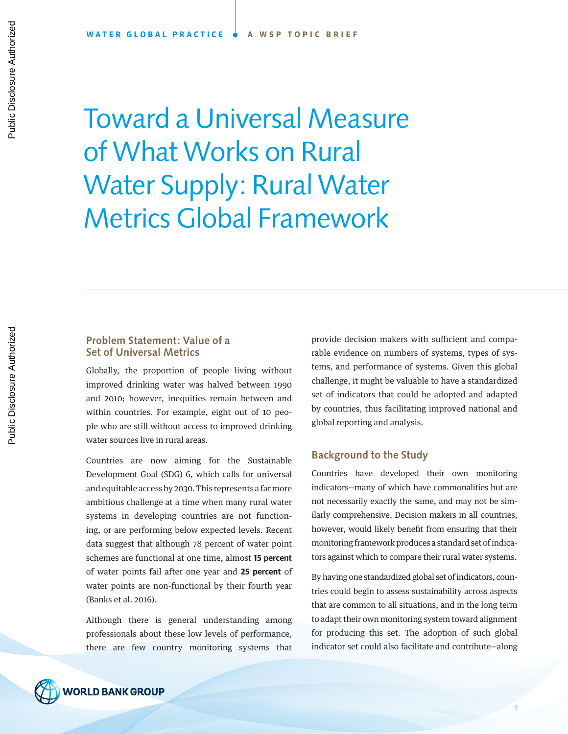Toward a Universal Measure of What Works on Rural Water Supply: Rural Water Metrics Global Framework

# **Problem Statement: Value of a Set of Universal Metrics**

Globally, the proportion of people living without improved drinking water was halved between 1990 and 2010; however, inequities remain between and within countries. For example, eight out of 10 people who are still without access to improved drinking water sources live in rural areas.

Countries are now aiming for the Sustainable Development Goal (SDG) 6, which calls for universal and equitable access by 2030. This represents a far more ambitious challenge at a time when many rural water systems in developing countries are not functioning, or are performing below expected levels. Recent data suggest that although 78 percent of water point schemes are functional at one time, almost **15 percent**  of water points fail after one year and **25 percent** of water points are non-functional by their fourth year (Banks et al. 2016).

Although there is general understanding among professionals about these low levels of performance, there are few country monitoring systems that provide decision makers with sufficient and comparable evidence on numbers of systems, types of systems, and performance of systems. Given this global challenge, it might be valuable to have a standardized set of indicators that could be adopted and adapted by countries, thus facilitating improved national and global reporting and analysis.

## **Background to the Study**

Countries have developed their own monitoring indicators—many of which have commonalities but are not necessarily exactly the same, and may not be similarly comprehensive. Decision makers in all countries, however, would likely benefit from ensuring that their monitoring framework produces a standard set of indicators against which to compare their rural water systems.

By having one standardized global set of indicators, countries could begin to assess sustainability across aspects that are common to all situations, and in the long term to adapt their own monitoring system toward alignment for producing this set. The adoption of such global indicator set could also facilitate and contribute—along



Public Disclosure Authorized

Public Disclosure Authorized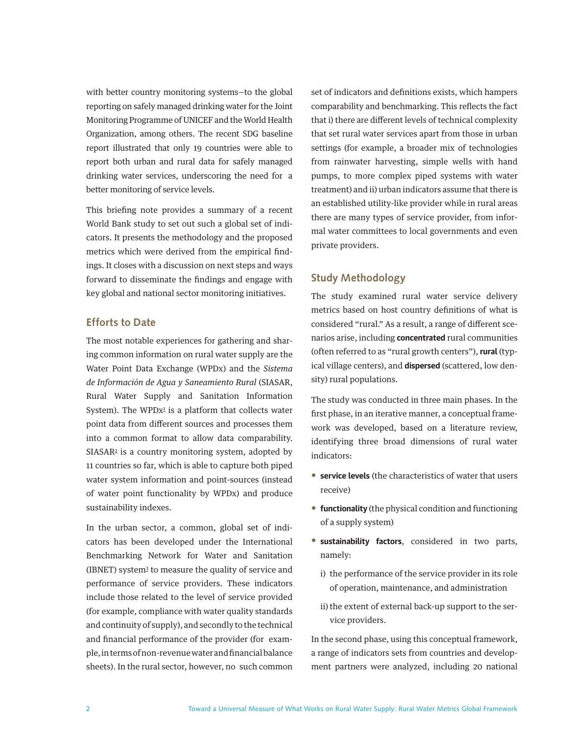<span id="page-1-0"></span>with better country monitoring systems—to the global reporting on safely managed drinking water for the Joint Monitoring Programme of UNICEF and the World Health Organization, among others. The recent SDG baseline report illustrated that only 19 countries were able to report both urban and rural data for safely managed drinking water services, underscoring the need for a better monitoring of service levels.

This briefing note provides a summary of a recent World Bank study to set out such a global set of indicators. It presents the methodology and the proposed metrics which were derived from the empirical findings. It closes with a discussion on next steps and ways forward to disseminate the findings and engage with key global and national sector monitoring initiatives.

# **Efforts to Date**

The most notable experiences for gathering and sharing common information on rural water supply are the Water Point Data Exchange (WPDx) and the *Sistema de Información de Agua y Saneamiento Rural* (SIASAR, Rural Water Supply and Sanitation Information System). The  $WPDx^{\perp}$  is a platform that collects water point data from different sources and processes them into a common format to allow data comparability. SIASAR<sup>[2](#page-7-0)</sup> is a country monitoring system, adopted by 11 countries so far, which is able to capture both piped water system information and point-sources (instead of water point functionality by WPDx) and produce sustainability indexes.

In the urban sector, a common, global set of indicators has been developed under the International Benchmarking Network for Water and Sanitation (IBNET) syste[m3](#page-7-0) to measure the quality of service and performance of service providers. These indicators include those related to the level of service provided (for example, compliance with water quality standards and continuity of supply), and secondly to the technical and financial performance of the provider (for example, in terms of non-revenue water and financial balance sheets). In the rural sector, however, no such common set of indicators and definitions exists, which hampers comparability and benchmarking. This reflects the fact that i) there are different levels of technical complexity that set rural water services apart from those in urban settings (for example, a broader mix of technologies from rainwater harvesting, simple wells with hand pumps, to more complex piped systems with water treatment) and ii) urban indicators assume that there is an established utility-like provider while in rural areas there are many types of service provider, from informal water committees to local governments and even private providers.

# **Study Methodology**

The study examined rural water service delivery metrics based on host country definitions of what is considered "rural." As a result, a range of different scenarios arise, including **concentrated** rural communities (often referred to as "rural growth centers"), **rural** (typical village centers), and **dispersed** (scattered, low density) rural populations.

The study was conducted in three main phases. In the first phase, in an iterative manner, a conceptual framework was developed, based on a literature review, identifying three broad dimensions of rural water indicators:

- **service levels** (the characteristics of water that users receive)
- **functionality** (the physical condition and functioning of a supply system)
- **sustainability factors**, considered in two parts, namely:
	- i) the performance of the service provider in its role of operation, maintenance, and administration
	- ii) the extent of external back-up support to the service providers.

In the second phase, using this conceptual framework, a range of indicators sets from countries and development partners were analyzed, including 20 national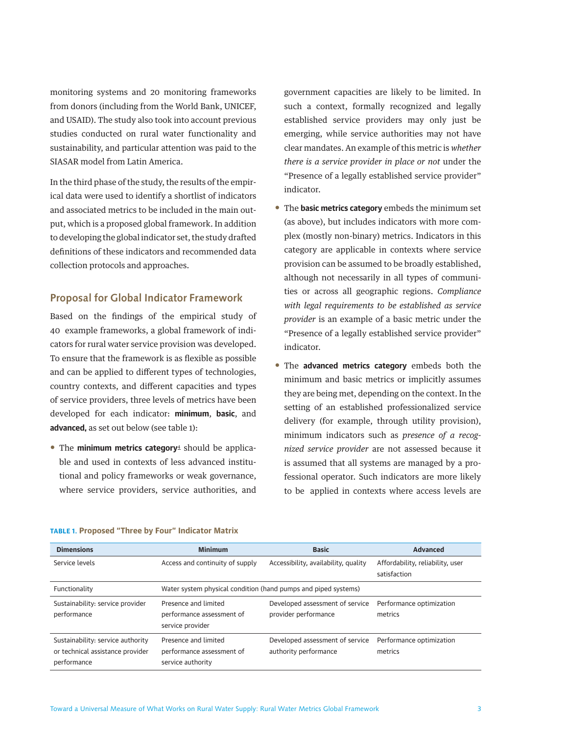<span id="page-2-0"></span>monitoring systems and 20 monitoring frameworks from donors (including from the World Bank, UNICEF, and USAID). The study also took into account previous studies conducted on rural water functionality and sustainability, and particular attention was paid to the SIASAR model from Latin America.

In the third phase of the study, the results of the empirical data were used to identify a shortlist of indicators and associated metrics to be included in the main output, which is a proposed global framework. In addition to developing the global indicator set, the study drafted definitions of these indicators and recommended data collection protocols and approaches.

## **Proposal for Global Indicator Framework**

Based on the findings of the empirical study of 40 example frameworks, a global framework of indicators for rural water service provision was developed. To ensure that the framework is as flexible as possible and can be applied to different types of technologies, country contexts, and different capacities and types of service providers, three levels of metrics have been developed for each indicator: **minimum**, **basic**, and **advanced,** as set out below (see table 1):

• The **minimum metrics category**[4](#page-7-0) should be applicable and used in contexts of less advanced institutional and policy frameworks or weak governance, where service providers, service authorities, and government capacities are likely to be limited. In such a context, formally recognized and legally established service providers may only just be emerging, while service authorities may not have clear mandates. An example of this metric is *whether there is a service provider in place or not* under the "Presence of a legally established service provider" indicator.

- The **basic metrics category** embeds the minimum set (as above), but includes indicators with more complex (mostly non-binary) metrics. Indicators in this category are applicable in contexts where service provision can be assumed to be broadly established, although not necessarily in all types of communities or across all geographic regions. *Compliance with legal requirements to be established as service provider* is an example of a basic metric under the "Presence of a legally established service provider" indicator.
- The **advanced metrics category** embeds both the minimum and basic metrics or implicitly assumes they are being met, depending on the context. In the setting of an established professionalized service delivery (for example, through utility provision), minimum indicators such as *presence of a recognized service provider* are not assessed because it is assumed that all systems are managed by a professional operator. Such indicators are more likely to be applied in contexts where access levels are

| <b>Dimensions</b>                                                                    | <b>Minimum</b>                                                         | <b>Basic</b>                                             | <b>Advanced</b>                                  |
|--------------------------------------------------------------------------------------|------------------------------------------------------------------------|----------------------------------------------------------|--------------------------------------------------|
| Service levels                                                                       | Access and continuity of supply                                        | Accessibility, availability, quality                     | Affordability, reliability, user<br>satisfaction |
| Functionality                                                                        | Water system physical condition (hand pumps and piped systems)         |                                                          |                                                  |
| Sustainability: service provider<br>performance                                      | Presence and limited<br>performance assessment of<br>service provider  | Developed assessment of service<br>provider performance  | Performance optimization<br>metrics              |
| Sustainability: service authority<br>or technical assistance provider<br>performance | Presence and limited<br>performance assessment of<br>service authority | Developed assessment of service<br>authority performance | Performance optimization<br>metrics              |

#### **TABLE 1. Proposed "Three by Four" Indicator Matrix**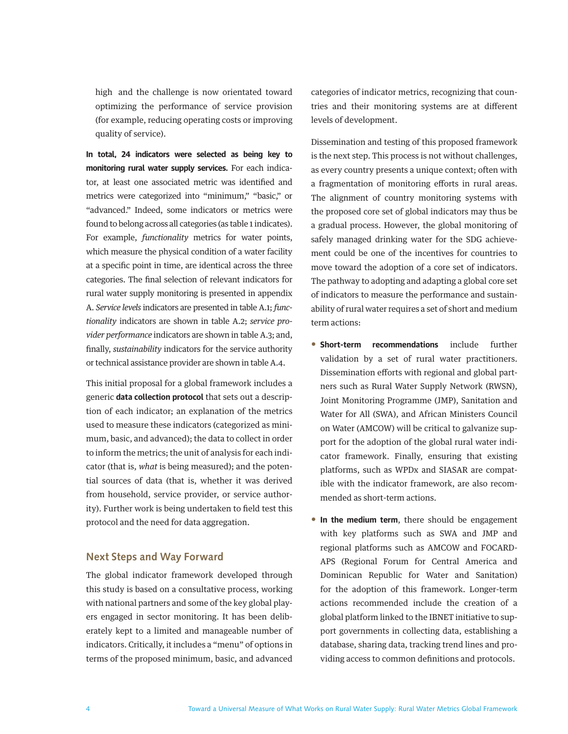high and the challenge is now orientated toward optimizing the performance of service provision (for example, reducing operating costs or improving quality of service).

**In total, 24 indicators were selected as being key to monitoring rural water supply services.** For each indicator, at least one associated metric was identified and metrics were categorized into "minimum," "basic," or "advanced." Indeed, some indicators or metrics were found to belong across all categories (as table 1 indicates). For example, *functionality* metrics for water points, which measure the physical condition of a water facility at a specific point in time, are identical across the three categories. The final selection of relevant indicators for rural water supply monitoring is presented in appendix A. *Service levels* indicators are presented in table A.1; *functionality* indicators are shown in table A.2; *service provider performance* indicators are shown in table A.3; and, finally, *sustainability* indicators for the service authority or technical assistance provider are shown in table A.4.

This initial proposal for a global framework includes a generic **data collection protocol** that sets out a description of each indicator; an explanation of the metrics used to measure these indicators (categorized as minimum, basic, and advanced); the data to collect in order to inform the metrics; the unit of analysis for each indicator (that is, *what* is being measured); and the potential sources of data (that is, whether it was derived from household, service provider, or service authority). Further work is being undertaken to field test this protocol and the need for data aggregation.

## **Next Steps and Way Forward**

The global indicator framework developed through this study is based on a consultative process, working with national partners and some of the key global players engaged in sector monitoring. It has been deliberately kept to a limited and manageable number of indicators. Critically, it includes a "menu" of options in terms of the proposed minimum, basic, and advanced categories of indicator metrics, recognizing that countries and their monitoring systems are at different levels of development.

Dissemination and testing of this proposed framework is the next step. This process is not without challenges, as every country presents a unique context; often with a fragmentation of monitoring efforts in rural areas. The alignment of country monitoring systems with the proposed core set of global indicators may thus be a gradual process. However, the global monitoring of safely managed drinking water for the SDG achievement could be one of the incentives for countries to move toward the adoption of a core set of indicators. The pathway to adopting and adapting a global core set of indicators to measure the performance and sustainability of rural water requires a set of short and medium term actions:

- **Short-term recommendations** include further validation by a set of rural water practitioners. Dissemination efforts with regional and global partners such as Rural Water Supply Network (RWSN), Joint Monitoring Programme (JMP), Sanitation and Water for All (SWA), and African Ministers Council on Water (AMCOW) will be critical to galvanize support for the adoption of the global rural water indicator framework. Finally, ensuring that existing platforms, such as WPDx and SIASAR are compatible with the indicator framework, are also recommended as short-term actions.
- **In the medium term**, there should be engagement with key platforms such as SWA and JMP and regional platforms such as AMCOW and FOCARD-APS (Regional Forum for Central America and Dominican Republic for Water and Sanitation) for the adoption of this framework. Longer-term actions recommended include the creation of a global platform linked to the IBNET initiative to support governments in collecting data, establishing a database, sharing data, tracking trend lines and providing access to common definitions and protocols.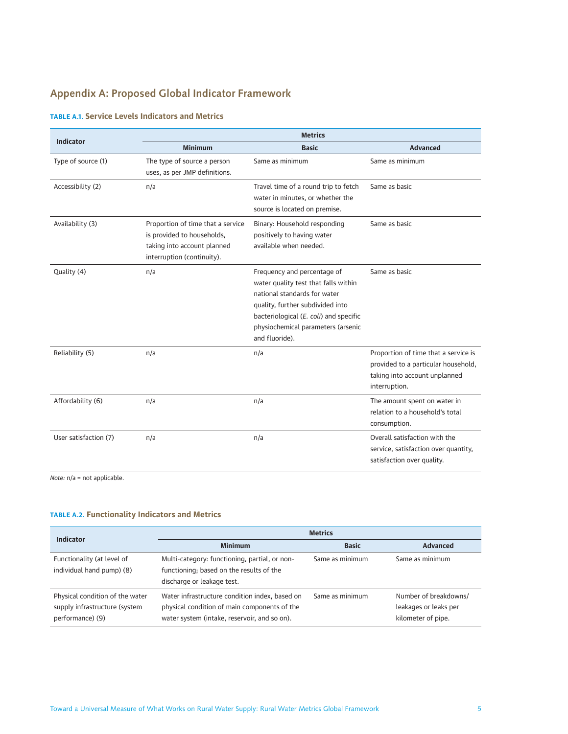# **Appendix A: Proposed Global Indicator Framework**

|                       | <b>Metrics</b>                                                                                                               |                                                                                                                                                                                                                                           |                                                                                                                               |  |
|-----------------------|------------------------------------------------------------------------------------------------------------------------------|-------------------------------------------------------------------------------------------------------------------------------------------------------------------------------------------------------------------------------------------|-------------------------------------------------------------------------------------------------------------------------------|--|
| <b>Indicator</b>      | <b>Minimum</b>                                                                                                               | <b>Basic</b>                                                                                                                                                                                                                              | <b>Advanced</b>                                                                                                               |  |
| Type of source (1)    | The type of source a person<br>uses, as per JMP definitions.                                                                 | Same as minimum                                                                                                                                                                                                                           | Same as minimum                                                                                                               |  |
| Accessibility (2)     | n/a                                                                                                                          | Travel time of a round trip to fetch<br>water in minutes, or whether the<br>source is located on premise.                                                                                                                                 | Same as basic                                                                                                                 |  |
| Availability (3)      | Proportion of time that a service<br>is provided to households,<br>taking into account planned<br>interruption (continuity). | Binary: Household responding<br>positively to having water<br>available when needed.                                                                                                                                                      | Same as basic                                                                                                                 |  |
| Quality (4)           | n/a                                                                                                                          | Frequency and percentage of<br>water quality test that falls within<br>national standards for water<br>quality, further subdivided into<br>bacteriological (E. coli) and specific<br>physiochemical parameters (arsenic<br>and fluoride). | Same as basic                                                                                                                 |  |
| Reliability (5)       | n/a                                                                                                                          | n/a                                                                                                                                                                                                                                       | Proportion of time that a service is<br>provided to a particular household,<br>taking into account unplanned<br>interruption. |  |
| Affordability (6)     | n/a                                                                                                                          | n/a                                                                                                                                                                                                                                       | The amount spent on water in<br>relation to a household's total<br>consumption.                                               |  |
| User satisfaction (7) | n/a                                                                                                                          | n/a                                                                                                                                                                                                                                       | Overall satisfaction with the<br>service, satisfaction over quantity,<br>satisfaction over quality.                           |  |

### **TABLE A.1. Service Levels Indicators and Metrics**

*Note:* n/a = not applicable.

#### **TABLE A.2. Functionality Indicators and Metrics**

| Indicator                                                                            | <b>Metrics</b>                                                                                                                                 |                 |                                                                      |  |
|--------------------------------------------------------------------------------------|------------------------------------------------------------------------------------------------------------------------------------------------|-----------------|----------------------------------------------------------------------|--|
|                                                                                      | <b>Minimum</b>                                                                                                                                 | <b>Basic</b>    | <b>Advanced</b>                                                      |  |
| Functionality (at level of<br>individual hand pump) (8)                              | Multi-category: functioning, partial, or non-<br>functioning; based on the results of the<br>discharge or leakage test.                        | Same as minimum | Same as minimum                                                      |  |
| Physical condition of the water<br>supply infrastructure (system<br>performance) (9) | Water infrastructure condition index, based on<br>physical condition of main components of the<br>water system (intake, reservoir, and so on). | Same as minimum | Number of breakdowns/<br>leakages or leaks per<br>kilometer of pipe. |  |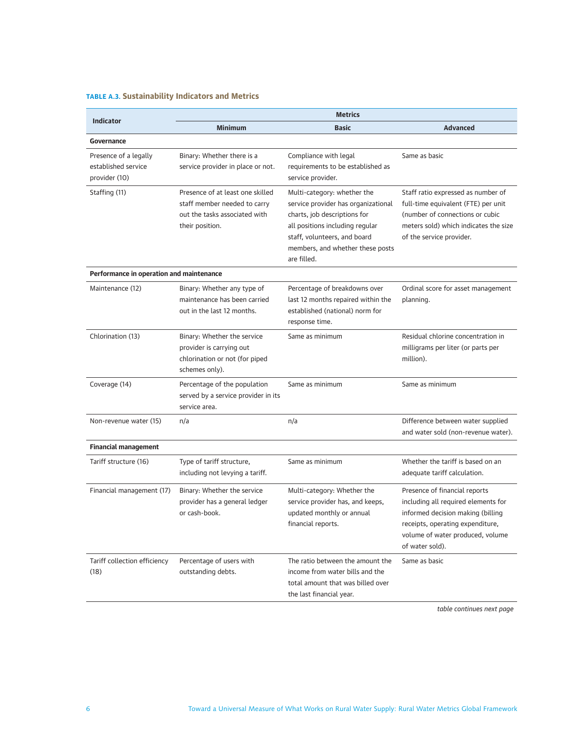# **TABLE A.3. Sustainability Indicators and Metrics**

| <b>Indicator</b>                                              | <b>Metrics</b>                                                                                                       |                                                                                                                                                                                                                          |                                                                                                                                                                                                      |  |
|---------------------------------------------------------------|----------------------------------------------------------------------------------------------------------------------|--------------------------------------------------------------------------------------------------------------------------------------------------------------------------------------------------------------------------|------------------------------------------------------------------------------------------------------------------------------------------------------------------------------------------------------|--|
|                                                               | <b>Minimum</b>                                                                                                       | <b>Basic</b>                                                                                                                                                                                                             | <b>Advanced</b>                                                                                                                                                                                      |  |
| Governance                                                    |                                                                                                                      |                                                                                                                                                                                                                          |                                                                                                                                                                                                      |  |
| Presence of a legally<br>established service<br>provider (10) | Binary: Whether there is a<br>service provider in place or not.                                                      | Compliance with legal<br>requirements to be established as<br>service provider.                                                                                                                                          | Same as basic                                                                                                                                                                                        |  |
| Staffing (11)                                                 | Presence of at least one skilled<br>staff member needed to carry<br>out the tasks associated with<br>their position. | Multi-category: whether the<br>service provider has organizational<br>charts, job descriptions for<br>all positions including regular<br>staff, volunteers, and board<br>members, and whether these posts<br>are filled. | Staff ratio expressed as number of<br>full-time equivalent (FTE) per unit<br>(number of connections or cubic<br>meters sold) which indicates the size<br>of the service provider.                    |  |
| Performance in operation and maintenance                      |                                                                                                                      |                                                                                                                                                                                                                          |                                                                                                                                                                                                      |  |
| Maintenance (12)                                              | Binary: Whether any type of<br>maintenance has been carried<br>out in the last 12 months.                            | Percentage of breakdowns over<br>last 12 months repaired within the<br>established (national) norm for<br>response time.                                                                                                 | Ordinal score for asset management<br>planning.                                                                                                                                                      |  |
| Chlorination (13)                                             | Binary: Whether the service<br>provider is carrying out<br>chlorination or not (for piped<br>schemes only).          | Same as minimum                                                                                                                                                                                                          | Residual chlorine concentration in<br>milligrams per liter (or parts per<br>million).                                                                                                                |  |
| Coverage (14)                                                 | Percentage of the population<br>served by a service provider in its<br>service area.                                 | Same as minimum                                                                                                                                                                                                          | Same as minimum                                                                                                                                                                                      |  |
| Non-revenue water (15)                                        | n/a                                                                                                                  | n/a                                                                                                                                                                                                                      | Difference between water supplied<br>and water sold (non-revenue water).                                                                                                                             |  |
| <b>Financial management</b>                                   |                                                                                                                      |                                                                                                                                                                                                                          |                                                                                                                                                                                                      |  |
| Tariff structure (16)                                         | Type of tariff structure,<br>including not levying a tariff.                                                         | Same as minimum                                                                                                                                                                                                          | Whether the tariff is based on an<br>adequate tariff calculation.                                                                                                                                    |  |
| Financial management (17)                                     | Binary: Whether the service<br>provider has a general ledger<br>or cash-book.                                        | Multi-category: Whether the<br>service provider has, and keeps,<br>updated monthly or annual<br>financial reports.                                                                                                       | Presence of financial reports<br>including all required elements for<br>informed decision making (billing<br>receipts, operating expenditure,<br>volume of water produced, volume<br>of water sold). |  |
| Tariff collection efficiency<br>(18)                          | Percentage of users with<br>outstanding debts.                                                                       | The ratio between the amount the<br>income from water bills and the<br>total amount that was billed over<br>the last financial year.                                                                                     | Same as basic                                                                                                                                                                                        |  |

*table continues next page*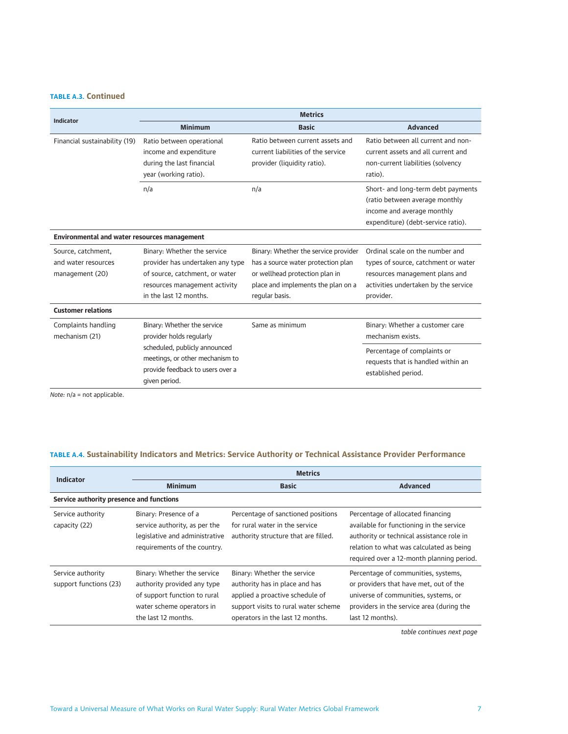#### **TABLE A.3. Continued**

| <b>Indicator</b>                                             | <b>Metrics</b>                                                                                                                                               |                                                                                                                                                                      |                                                                                                                                                               |  |
|--------------------------------------------------------------|--------------------------------------------------------------------------------------------------------------------------------------------------------------|----------------------------------------------------------------------------------------------------------------------------------------------------------------------|---------------------------------------------------------------------------------------------------------------------------------------------------------------|--|
|                                                              | <b>Minimum</b>                                                                                                                                               | <b>Basic</b>                                                                                                                                                         | Advanced                                                                                                                                                      |  |
| Financial sustainability (19)                                | Ratio between operational<br>income and expenditure<br>during the last financial<br>year (working ratio).                                                    | Ratio between current assets and<br>current liabilities of the service<br>provider (liquidity ratio).                                                                | Ratio between all current and non-<br>current assets and all current and<br>non-current liabilities (solvency<br>ratio).                                      |  |
|                                                              | n/a                                                                                                                                                          | n/a                                                                                                                                                                  | Short- and long-term debt payments<br>(ratio between average monthly<br>income and average monthly<br>expenditure) (debt-service ratio).                      |  |
| <b>Environmental and water resources management</b>          |                                                                                                                                                              |                                                                                                                                                                      |                                                                                                                                                               |  |
| Source, catchment,<br>and water resources<br>management (20) | Binary: Whether the service<br>provider has undertaken any type<br>of source, catchment, or water<br>resources management activity<br>in the last 12 months. | Binary: Whether the service provider<br>has a source water protection plan<br>or wellhead protection plan in<br>place and implements the plan on a<br>regular basis. | Ordinal scale on the number and<br>types of source, catchment or water<br>resources management plans and<br>activities undertaken by the service<br>provider. |  |
| <b>Customer relations</b>                                    |                                                                                                                                                              |                                                                                                                                                                      |                                                                                                                                                               |  |
| Complaints handling<br>mechanism (21)                        | Binary: Whether the service<br>provider holds regularly                                                                                                      | Same as minimum                                                                                                                                                      | Binary: Whether a customer care<br>mechanism exists.                                                                                                          |  |
|                                                              | scheduled, publicly announced<br>meetings, or other mechanism to<br>provide feedback to users over a<br>given period.                                        |                                                                                                                                                                      | Percentage of complaints or<br>requests that is handled within an<br>established period.                                                                      |  |

*Note:* n/a = not applicable.

#### **TABLE A.4. Sustainability Indicators and Metrics: Service Authority or Technical Assistance Provider Performance**

| <b>Indicator</b>                            | <b>Metrics</b>                                                                                                                                 |                                                                                                                                                                              |                                                                                                                                                                                                                     |
|---------------------------------------------|------------------------------------------------------------------------------------------------------------------------------------------------|------------------------------------------------------------------------------------------------------------------------------------------------------------------------------|---------------------------------------------------------------------------------------------------------------------------------------------------------------------------------------------------------------------|
|                                             | <b>Minimum</b>                                                                                                                                 | <b>Basic</b>                                                                                                                                                                 | <b>Advanced</b>                                                                                                                                                                                                     |
| Service authority presence and functions    |                                                                                                                                                |                                                                                                                                                                              |                                                                                                                                                                                                                     |
| Service authority<br>capacity (22)          | Binary: Presence of a<br>service authority, as per the<br>legislative and administrative<br>requirements of the country.                       | Percentage of sanctioned positions<br>for rural water in the service<br>authority structure that are filled.                                                                 | Percentage of allocated financing<br>available for functioning in the service<br>authority or technical assistance role in<br>relation to what was calculated as being<br>required over a 12-month planning period. |
| Service authority<br>support functions (23) | Binary: Whether the service<br>authority provided any type<br>of support function to rural<br>water scheme operators in<br>the last 12 months. | Binary: Whether the service<br>authority has in place and has<br>applied a proactive schedule of<br>support visits to rural water scheme<br>operators in the last 12 months. | Percentage of communities, systems,<br>or providers that have met, out of the<br>universe of communities, systems, or<br>providers in the service area (during the<br>last 12 months).                              |

*table continues next page*